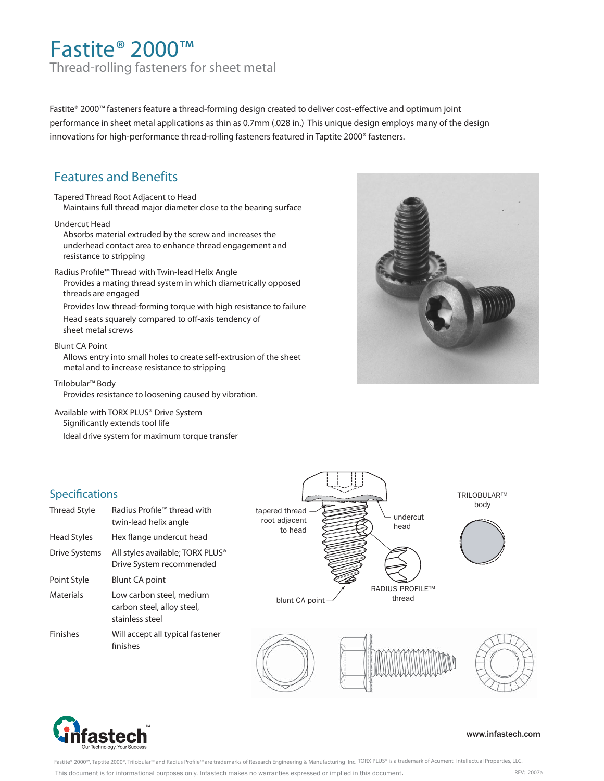## Fastite® 2000™ Thread-rolling fasteners for sheet metal

Fastite® 2000™ fasteners feature a thread-forming design created to deliver cost-effective and optimum joint performance in sheet metal applications as thin as 0.7mm (.028 in.) This unique design employs many of the design innovations for high-performance thread-rolling fasteners featured in Taptite 2000® fasteners.

## **Features and Benefits**

Tapered Thread Root Adjacent to Head Maintains full thread major diameter close to the bearing surface

#### Undercut Head

Absorbs material extruded by the screw and increases the underhead contact area to enhance thread engagement and resistance to stripping

Radius Profile™ Thread with Twin-lead Helix Angle Provides a mating thread system in which diametrically opposed threads are engaged

Provides low thread-forming torque with high resistance to failure

Head seats squarely compared to off-axis tendency of sheet metal screws

#### Blunt CA Point

Allows entry into small holes to create self-extrusion of the sheet metal and to increase resistance to stripping

Trilobular™ Body

**Specifications** 

Provides resistance to loosening caused by vibration.

Available with TORX PLUS® Drive System Significantly extends tool life

Ideal drive system for maximum torque transfer







Point Style Blunt CA point

stainless steel

finishes

#### www.infastech.com

Fastite® 2000™, Taptite 2000®, Trilobular™ and Radius Profile™ are trademarks of Research Engineering & Manufacturing Inc. TORX PLUS® is a trademark of Acument Intellectual Properties, LLC. REV: 007a This document is for informational purposes only. Infastech makes no warranties expressed or implied in this document.